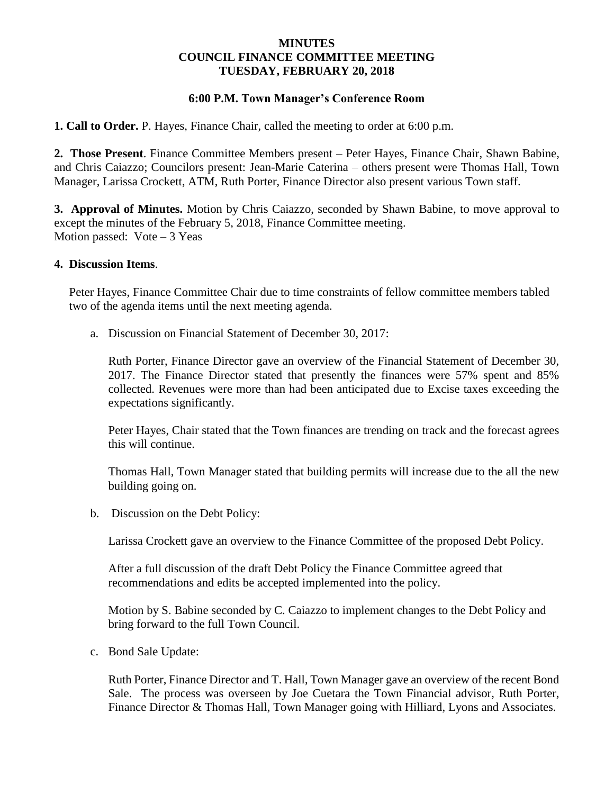# **MINUTES COUNCIL FINANCE COMMITTEE MEETING TUESDAY, FEBRUARY 20, 2018**

# **6:00 P.M. Town Manager's Conference Room**

**1. Call to Order.** P. Hayes, Finance Chair, called the meeting to order at 6:00 p.m.

**2. Those Present**. Finance Committee Members present – Peter Hayes, Finance Chair, Shawn Babine, and Chris Caiazzo; Councilors present: Jean-Marie Caterina – others present were Thomas Hall, Town Manager, Larissa Crockett, ATM, Ruth Porter, Finance Director also present various Town staff.

**3. Approval of Minutes.** Motion by Chris Caiazzo, seconded by Shawn Babine, to move approval to except the minutes of the February 5, 2018, Finance Committee meeting. Motion passed:  $Vote-3$  Yeas

### **4. Discussion Items**.

Peter Hayes, Finance Committee Chair due to time constraints of fellow committee members tabled two of the agenda items until the next meeting agenda.

a. Discussion on Financial Statement of December 30, 2017:

Ruth Porter, Finance Director gave an overview of the Financial Statement of December 30, 2017. The Finance Director stated that presently the finances were 57% spent and 85% collected. Revenues were more than had been anticipated due to Excise taxes exceeding the expectations significantly.

Peter Hayes, Chair stated that the Town finances are trending on track and the forecast agrees this will continue.

Thomas Hall, Town Manager stated that building permits will increase due to the all the new building going on.

b. Discussion on the Debt Policy:

Larissa Crockett gave an overview to the Finance Committee of the proposed Debt Policy.

 After a full discussion of the draft Debt Policy the Finance Committee agreed that recommendations and edits be accepted implemented into the policy.

 Motion by S. Babine seconded by C. Caiazzo to implement changes to the Debt Policy and bring forward to the full Town Council.

c. Bond Sale Update:

Ruth Porter, Finance Director and T. Hall, Town Manager gave an overview of the recent Bond Sale. The process was overseen by Joe Cuetara the Town Financial advisor, Ruth Porter, Finance Director & Thomas Hall, Town Manager going with Hilliard, Lyons and Associates.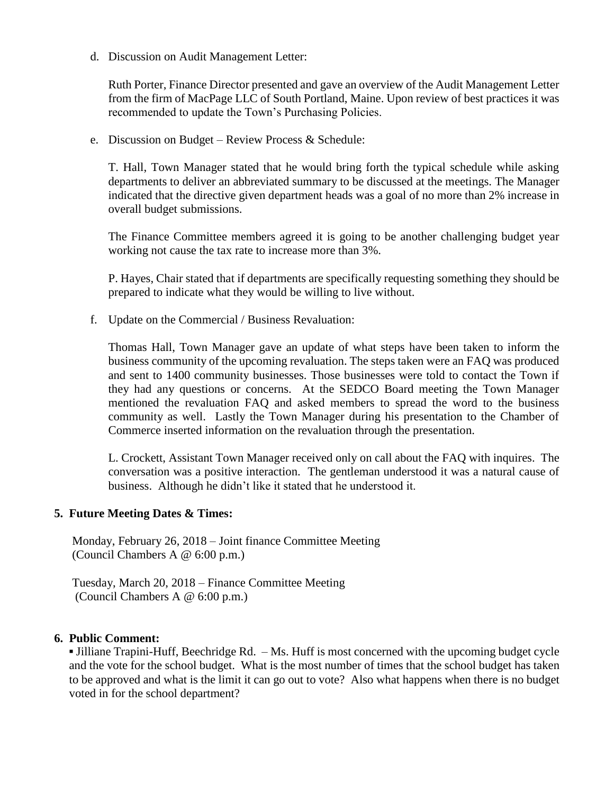d. Discussion on Audit Management Letter:

Ruth Porter, Finance Director presented and gave an overview of the Audit Management Letter from the firm of MacPage LLC of South Portland, Maine. Upon review of best practices it was recommended to update the Town's Purchasing Policies.

e. Discussion on Budget – Review Process & Schedule:

T. Hall, Town Manager stated that he would bring forth the typical schedule while asking departments to deliver an abbreviated summary to be discussed at the meetings. The Manager indicated that the directive given department heads was a goal of no more than 2% increase in overall budget submissions.

The Finance Committee members agreed it is going to be another challenging budget year working not cause the tax rate to increase more than 3%.

P. Hayes, Chair stated that if departments are specifically requesting something they should be prepared to indicate what they would be willing to live without.

f. Update on the Commercial / Business Revaluation:

Thomas Hall, Town Manager gave an update of what steps have been taken to inform the business community of the upcoming revaluation. The steps taken were an FAQ was produced and sent to 1400 community businesses. Those businesses were told to contact the Town if they had any questions or concerns. At the SEDCO Board meeting the Town Manager mentioned the revaluation FAQ and asked members to spread the word to the business community as well. Lastly the Town Manager during his presentation to the Chamber of Commerce inserted information on the revaluation through the presentation.

L. Crockett, Assistant Town Manager received only on call about the FAQ with inquires. The conversation was a positive interaction. The gentleman understood it was a natural cause of business. Although he didn't like it stated that he understood it.

# **5. Future Meeting Dates & Times:**

Monday, February 26, 2018 – Joint finance Committee Meeting (Council Chambers A @ 6:00 p.m.)

 Tuesday, March 20, 2018 – Finance Committee Meeting (Council Chambers A @ 6:00 p.m.)

# **6. Public Comment:**

**▪** Jilliane Trapini-Huff, Beechridge Rd. – Ms. Huff is most concerned with the upcoming budget cycle and the vote for the school budget. What is the most number of times that the school budget has taken to be approved and what is the limit it can go out to vote? Also what happens when there is no budget voted in for the school department?